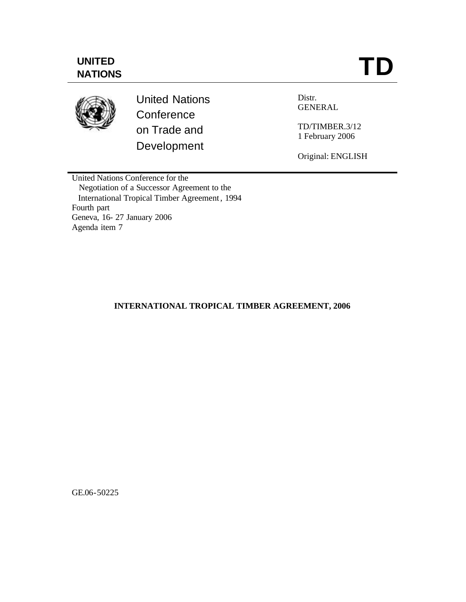# **UNITED NATIONS**



United Nations **Conference** on Trade and Development

Distr. GENERAL

TD/TIMBER.3/12 1 February 2006

Original: ENGLISH

United Nations Conference for the Negotiation of a Successor Agreement to the International Tropical Timber Agreement, 1994 Fourth part Geneva, 16- 27 January 2006 Agenda item 7

## **INTERNATIONAL TROPICAL TIMBER AGREEMENT, 2006**

GE.06-50225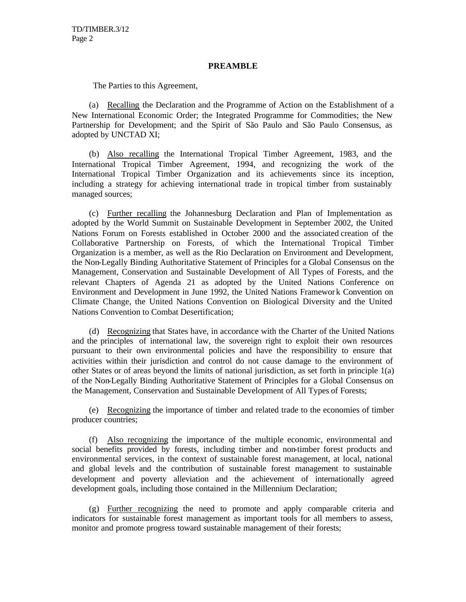### **PREAMBLE**

The Parties to this Agreement,

(a) Recalling the Declaration and the Programme of Action on the Establishment of a New International Economic Order; the Integrated Programme for Commodities; the New Partnership for Development; and the Spirit of São Paulo and São Paulo Consensus, as adopted by UNCTAD XI;

(b) Also recalling the International Tropical Timber Agreement, 1983, and the International Tropical Timber Agreement, 1994, and recognizing the work of the International Tropical Timber Organization and its achievements since its inception, including a strategy for achieving international trade in tropical timber from sustainably managed sources;

(c) Further recalling the Johannesburg Declaration and Plan of Implementation as adopted by the World Summit on Sustainable Development in September 2002, the United Nations Forum on Forests established in October 2000 and the associated creation of the Collaborative Partnership on Forests, of which the International Tropical Timber Organization is a member, as well as the Rio Declaration on Environment and Development, the Non-Legally Binding Authoritative Statement of Principles for a Global Consensus on the Management, Conservation and Sustainable Development of All Types of Forests, and the relevant Chapters of Agenda 21 as adopted by the United Nations Conference on Environment and Development in June 1992, the United Nations Framewor k Convention on Climate Change, the United Nations Convention on Biological Diversity and the United Nations Convention to Combat Desertification;

(d) Recognizing that States have, in accordance with the Charter of the United Nations and the principles of international law, the sovereign right to exploit their own resources pursuant to their own environmental policies and have the responsibility to ensure that activities within their jurisdiction and control do not cause damage to the environment of other States or of areas beyond the limits of national jurisdiction, as set forth in principle 1(a) of the Non-Legally Binding Authoritative Statement of Principles for a Global Consensus on the Management, Conservation and Sustainable Development of All Types of Forests;

(e) Recognizing the importance of timber and related trade to the economies of timber producer countries;

(f) Also recognizing the importance of the multiple economic, environmental and social benefits provided by forests, including timber and non-timber forest products and environmental services, in the context of sustainable forest management, at local, national and global levels and the contribution of sustainable forest management to sustainable development and poverty alleviation and the achievement of internationally agreed development goals, including those contained in the Millennium Declaration;

(g) Further recognizing the need to promote and apply comparable criteria and indicators for sustainable forest management as important tools for all members to assess, monitor and promote progress toward sustainable management of their forests;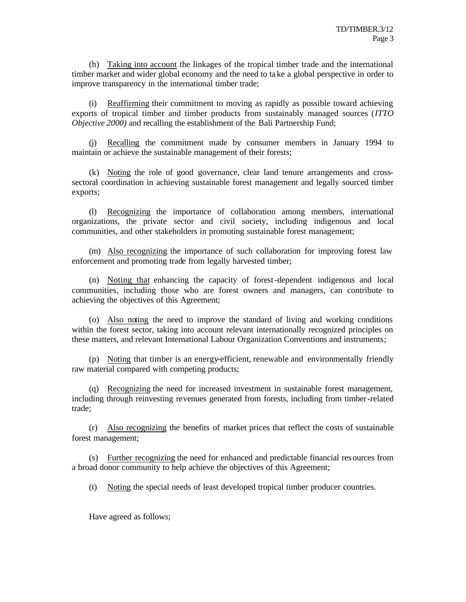(h) Taking into account the linkages of the tropical timber trade and the international timber market and wider global economy and the need to ta ke a global perspective in order to improve transparency in the international timber trade;

(i) Reaffirming their commitment to moving as rapidly as possible toward achieving exports of tropical timber and timber products from sustainably managed sources (*ITTO Objective 2000*) and recalling the establishment of the Bali Partnership Fund;

Recalling the commitment made by consumer members in January 1994 to maintain or achieve the sustainable management of their forests;

(k) Noting the role of good governance, clear land tenure arrangements and crosssectoral coordination in achieving sustainable forest management and legally sourced timber exports;

(l) Recognizing the importance of collaboration among members, international organizations, the private sector and civil society, including indigenous and local communities, and other stakeholders in promoting sustainable forest management;

(m) Also recognizing the importance of such collaboration for improving forest law enforcement and promoting trade from legally harvested timber;

(n) Noting that enhancing the capacity of forest-dependent indigenous and local communities, including those who are forest owners and managers, can contribute to achieving the objectives of this Agreement;

(o) Also noting the need to improve the standard of living and working conditions within the forest sector, taking into account relevant internationally recognized principles on these matters, and relevant International Labour Organization Conventions and instruments;

(p) Noting that timber is an energy-efficient, renewable and environmentally friendly raw material compared with competing products;

(q) Recognizing the need for increased investment in sustainable forest management, including through reinvesting revenues generated from forests, including from timber-related trade;

(r) Also recognizing the benefits of market prices that reflect the costs of sustainable forest management;

(s) Further recognizing the need for enhanced and predictable financial res ources from a broad donor community to help achieve the objectives of this Agreement;

(t) Noting the special needs of least developed tropical timber producer countries.

Have agreed as follows;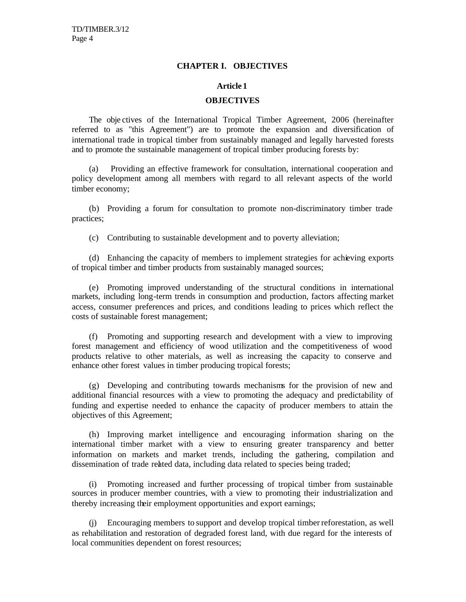### **CHAPTER I. OBJECTIVES**

#### **Article 1**

### **OBJECTIVES**

The obje ctives of the International Tropical Timber Agreement, 2006 (hereinafter referred to as "this Agreement") are to promote the expansion and diversification of international trade in tropical timber from sustainably managed and legally harvested forests and to promote the sustainable management of tropical timber producing forests by:

(a) Providing an effective framework for consultation, international cooperation and policy development among all members with regard to all relevant aspects of the world timber economy;

(b) Providing a forum for consultation to promote non-discriminatory timber trade practices;

(c) Contributing to sustainable development and to poverty alleviation;

(d) Enhancing the capacity of members to implement strategies for achieving exports of tropical timber and timber products from sustainably managed sources;

(e) Promoting improved understanding of the structural conditions in international markets, including long-term trends in consumption and production, factors affecting market access, consumer preferences and prices, and conditions leading to prices which reflect the costs of sustainable forest management;

(f) Promoting and supporting research and development with a view to improving forest management and efficiency of wood utilization and the competitiveness of wood products relative to other materials, as well as increasing the capacity to conserve and enhance other forest values in timber producing tropical forests;

(g) Developing and contributing towards mechanisms for the provision of new and additional financial resources with a view to promoting the adequacy and predictability of funding and expertise needed to enhance the capacity of producer members to attain the objectives of this Agreement;

(h) Improving market intelligence and encouraging information sharing on the international timber market with a view to ensuring greater transparency and better information on markets and market trends, including the gathering, compilation and dissemination of trade related data, including data related to species being traded;

(i) Promoting increased and further processing of tropical timber from sustainable sources in producer member countries, with a view to promoting their industrialization and thereby increasing their employment opportunities and export earnings;

(j) Encouraging members to support and develop tropical timber reforestation, as well as rehabilitation and restoration of degraded forest land, with due regard for the interests of local communities dependent on forest resources;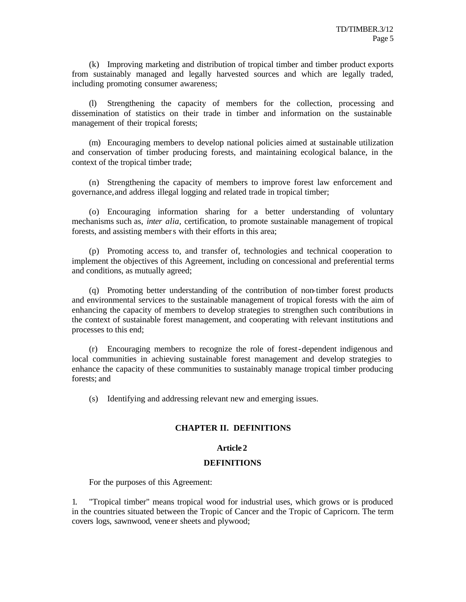(k) Improving marketing and distribution of tropical timber and timber product exports from sustainably managed and legally harvested sources and which are legally traded, including promoting consumer awareness;

(l) Strengthening the capacity of members for the collection, processing and dissemination of statistics on their trade in timber and information on the sustainable management of their tropical forests;

(m) Encouraging members to develop national policies aimed at sustainable utilization and conservation of timber producing forests, and maintaining ecological balance, in the context of the tropical timber trade;

(n) Strengthening the capacity of members to improve forest law enforcement and governance,and address illegal logging and related trade in tropical timber;

(o) Encouraging information sharing for a better understanding of voluntary mechanisms such as, *inter alia,* certification, to promote sustainable management of tropical forests, and assisting members with their efforts in this area;

(p) Promoting access to, and transfer of, technologies and technical cooperation to implement the objectives of this Agreement, including on concessional and preferential terms and conditions, as mutually agreed;

(q) Promoting better understanding of the contribution of non-timber forest products and environmental services to the sustainable management of tropical forests with the aim of enhancing the capacity of members to develop strategies to strengthen such contributions in the context of sustainable forest management, and cooperating with relevant institutions and processes to this end;

(r) Encouraging members to recognize the role of forest-dependent indigenous and local communities in achieving sustainable forest management and develop strategies to enhance the capacity of these communities to sustainably manage tropical timber producing forests; and

(s) Identifying and addressing relevant new and emerging issues.

## **CHAPTER II. DEFINITIONS**

### **Article 2**

### **DEFINITIONS**

For the purposes of this Agreement:

1. "Tropical timber" means tropical wood for industrial uses, which grows or is produced in the countries situated between the Tropic of Cancer and the Tropic of Capricorn. The term covers logs, sawnwood, vene er sheets and plywood;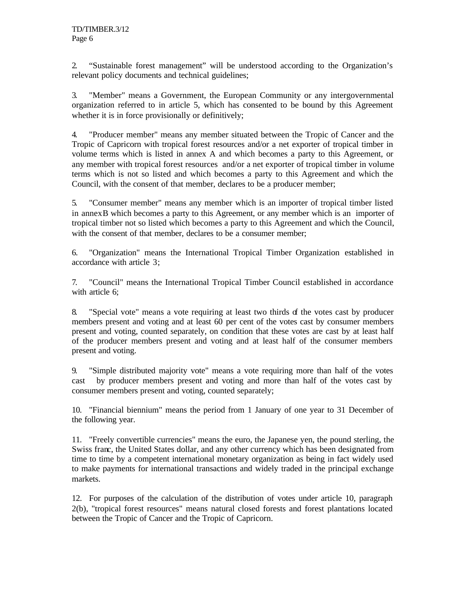2. "Sustainable forest management" will be understood according to the Organization's relevant policy documents and technical guidelines;

3. "Member" means a Government, the European Community or any intergovernmental organization referred to in article 5, which has consented to be bound by this Agreement whether it is in force provisionally or definitively;

4. "Producer member" means any member situated between the Tropic of Cancer and the Tropic of Capricorn with tropical forest resources and/or a net exporter of tropical timber in volume terms which is listed in annex A and which becomes a party to this Agreement, or any member with tropical forest resources and/or a net exporter of tropical timber in volume terms which is not so listed and which becomes a party to this Agreement and which the Council, with the consent of that member, declares to be a producer member;

5. "Consumer member" means any member which is an importer of tropical timber listed in annexB which becomes a party to this Agreement, or any member which is an importer of tropical timber not so listed which becomes a party to this Agreement and which the Council, with the consent of that member, declares to be a consumer member;

6. "Organization" means the International Tropical Timber Organization established in accordance with article 3;

7. "Council" means the International Tropical Timber Council established in accordance with article 6;

8. "Special vote" means a vote requiring at least two thirds of the votes cast by producer members present and voting and at least 60 per cent of the votes cast by consumer members present and voting, counted separately, on condition that these votes are cast by at least half of the producer members present and voting and at least half of the consumer members present and voting.

9. "Simple distributed majority vote" means a vote requiring more than half of the votes cast by producer members present and voting and more than half of the votes cast by consumer members present and voting, counted separately;

10. "Financial biennium" means the period from 1 January of one year to 31 December of the following year.

11. "Freely convertible currencies" means the euro, the Japanese yen, the pound sterling, the Swiss franc, the United States dollar, and any other currency which has been designated from time to time by a competent international monetary organization as being in fact widely used to make payments for international transactions and widely traded in the principal exchange markets.

12. For purposes of the calculation of the distribution of votes under article 10, paragraph 2(b), "tropical forest resources" means natural closed forests and forest plantations located between the Tropic of Cancer and the Tropic of Capricorn.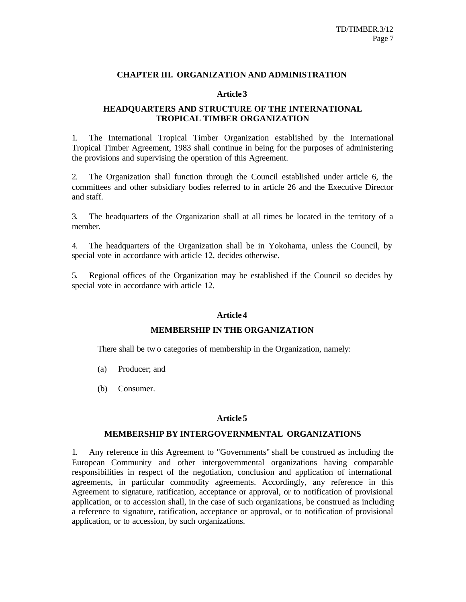### **CHAPTER III. ORGANIZATION AND ADMINISTRATION**

### **Article 3**

## **HEADQUARTERS AND STRUCTURE OF THE INTERNATIONAL TROPICAL TIMBER ORGANIZATION**

1. The International Tropical Timber Organization established by the International Tropical Timber Agreement, 1983 shall continue in being for the purposes of administering the provisions and supervising the operation of this Agreement.

2. The Organization shall function through the Council established under article 6, the committees and other subsidiary bodies referred to in article 26 and the Executive Director and staff.

3. The headquarters of the Organization shall at all times be located in the territory of a member.

4. The headquarters of the Organization shall be in Yokohama, unless the Council, by special vote in accordance with article 12, decides otherwise.

5. Regional offices of the Organization may be established if the Council so decides by special vote in accordance with article 12.

### **Article 4**

### **MEMBERSHIP IN THE ORGANIZATION**

There shall be tw o categories of membership in the Organization, namely:

- (a) Producer; and
- (b) Consumer.

#### **Article 5**

#### **MEMBERSHIP BY INTERGOVERNMENTAL ORGANIZATIONS**

1. Any reference in this Agreement to "Governments" shall be construed as including the European Community and other intergovernmental organizations having comparable responsibilities in respect of the negotiation, conclusion and application of international agreements, in particular commodity agreements. Accordingly, any reference in this Agreement to signature, ratification, acceptance or approval, or to notification of provisional application, or to accession shall, in the case of such organizations, be construed as including a reference to signature, ratification, acceptance or approval, or to notification of provisional application, or to accession, by such organizations.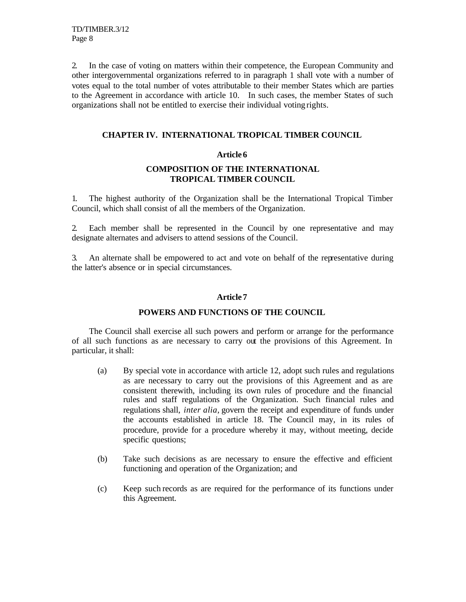2. In the case of voting on matters within their competence, the European Community and other intergovernmental organizations referred to in paragraph 1 shall vote with a number of votes equal to the total number of votes attributable to their member States which are parties to the Agreement in accordance with article 10. In such cases, the member States of such organizations shall not be entitled to exercise their individual voting rights.

## **CHAPTER IV. INTERNATIONAL TROPICAL TIMBER COUNCIL**

## **Article 6**

## **COMPOSITION OF THE INTERNATIONAL TROPICAL TIMBER COUNCIL**

1. The highest authority of the Organization shall be the International Tropical Timber Council, which shall consist of all the members of the Organization.

2. Each member shall be represented in the Council by one representative and may designate alternates and advisers to attend sessions of the Council.

3. An alternate shall be empowered to act and vote on behalf of the representative during the latter's absence or in special circumstances.

## **Article 7**

## **POWERS AND FUNCTIONS OF THE COUNCIL**

The Council shall exercise all such powers and perform or arrange for the performance of all such functions as are necessary to carry out the provisions of this Agreement. In particular, it shall:

- (a) By special vote in accordance with article 12, adopt such rules and regulations as are necessary to carry out the provisions of this Agreement and as are consistent therewith, including its own rules of procedure and the financial rules and staff regulations of the Organization. Such financial rules and regulations shall, *inter alia,* govern the receipt and expenditure of funds under the accounts established in article 18. The Council may, in its rules of procedure, provide for a procedure whereby it may, without meeting, decide specific questions;
- (b) Take such decisions as are necessary to ensure the effective and efficient functioning and operation of the Organization; and
- (c) Keep such records as are required for the performance of its functions under this Agreement.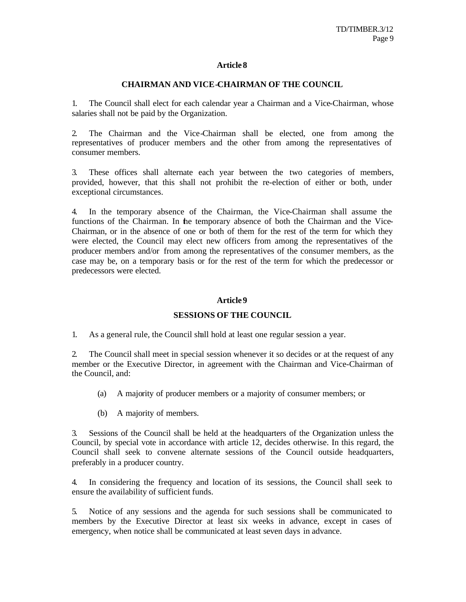### **CHAIRMAN AND VICE-CHAIRMAN OF THE COUNCIL**

1. The Council shall elect for each calendar year a Chairman and a Vice-Chairman, whose salaries shall not be paid by the Organization.

2. The Chairman and the Vice-Chairman shall be elected, one from among the representatives of producer members and the other from among the representatives of consumer members.

3. These offices shall alternate each year between the two categories of members, provided, however, that this shall not prohibit the re-election of either or both, under exceptional circumstances.

4. In the temporary absence of the Chairman, the Vice-Chairman shall assume the functions of the Chairman. In the temporary absence of both the Chairman and the Vice-Chairman, or in the absence of one or both of them for the rest of the term for which they were elected, the Council may elect new officers from among the representatives of the producer members and/or from among the representatives of the consumer members, as the case may be, on a temporary basis or for the rest of the term for which the predecessor or predecessors were elected.

### **Article 9**

## **SESSIONS OF THE COUNCIL**

1. As a general rule, the Council shall hold at least one regular session a year.

2. The Council shall meet in special session whenever it so decides or at the request of any member or the Executive Director, in agreement with the Chairman and Vice-Chairman of the Council, and:

- (a) A majority of producer members or a majority of consumer members; or
- (b) A majority of members.

3. Sessions of the Council shall be held at the headquarters of the Organization unless the Council, by special vote in accordance with article 12, decides otherwise. In this regard, the Council shall seek to convene alternate sessions of the Council outside headquarters, preferably in a producer country.

4. In considering the frequency and location of its sessions, the Council shall seek to ensure the availability of sufficient funds.

5. Notice of any sessions and the agenda for such sessions shall be communicated to members by the Executive Director at least six weeks in advance, except in cases of emergency, when notice shall be communicated at least seven days in advance.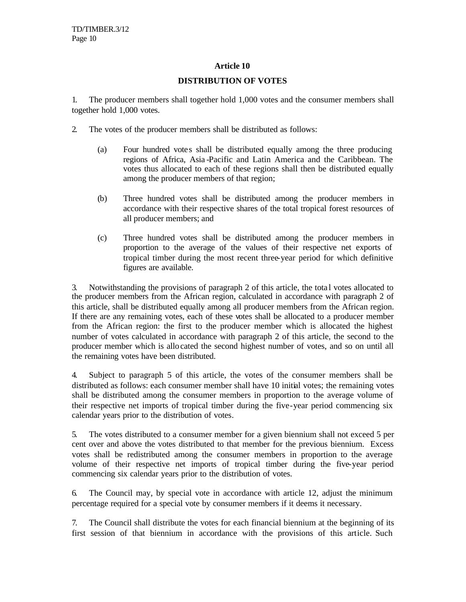### **DISTRIBUTION OF VOTES**

1. The producer members shall together hold 1,000 votes and the consumer members shall together hold 1,000 votes.

- 2. The votes of the producer members shall be distributed as follows:
	- (a) Four hundred vote s shall be distributed equally among the three producing regions of Africa, Asia -Pacific and Latin America and the Caribbean. The votes thus allocated to each of these regions shall then be distributed equally among the producer members of that region;
	- (b) Three hundred votes shall be distributed among the producer members in accordance with their respective shares of the total tropical forest resources of all producer members; and
	- (c) Three hundred votes shall be distributed among the producer members in proportion to the average of the values of their respective net exports of tropical timber during the most recent three-year period for which definitive figures are available.

3. Notwithstanding the provisions of paragraph 2 of this article, the tota l votes allocated to the producer members from the African region, calculated in accordance with paragraph 2 of this article, shall be distributed equally among all producer members from the African region. If there are any remaining votes, each of these votes shall be allocated to a producer member from the African region: the first to the producer member which is allocated the highest number of votes calculated in accordance with paragraph 2 of this article, the second to the producer member which is allocated the second highest number of votes, and so on until all the remaining votes have been distributed.

4. Subject to paragraph 5 of this article, the votes of the consumer members shall be distributed as follows: each consumer member shall have 10 initial votes; the remaining votes shall be distributed among the consumer members in proportion to the average volume of their respective net imports of tropical timber during the five-year period commencing six calendar years prior to the distribution of votes.

5. The votes distributed to a consumer member for a given biennium shall not exceed 5 per cent over and above the votes distributed to that member for the previous biennium. Excess votes shall be redistributed among the consumer members in proportion to the average volume of their respective net imports of tropical timber during the five-year period commencing six calendar years prior to the distribution of votes.

6. The Council may, by special vote in accordance with article 12, adjust the minimum percentage required for a special vote by consumer members if it deems it necessary.

7. The Council shall distribute the votes for each financial biennium at the beginning of its first session of that biennium in accordance with the provisions of this article. Such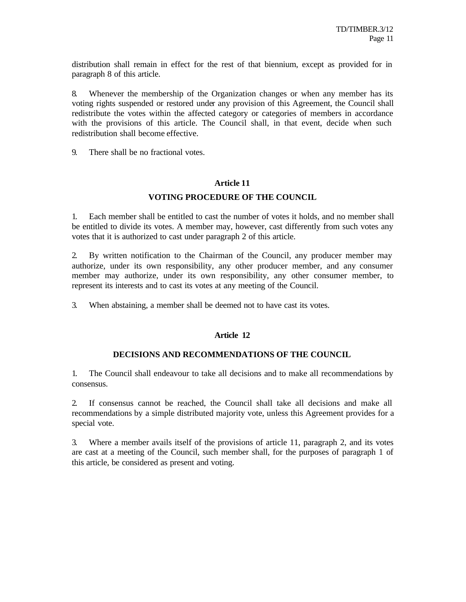distribution shall remain in effect for the rest of that biennium, except as provided for in paragraph 8 of this article.

8. Whenever the membership of the Organization changes or when any member has its voting rights suspended or restored under any provision of this Agreement, the Council shall redistribute the votes within the affected category or categories of members in accordance with the provisions of this article. The Council shall, in that event, decide when such redistribution shall become effective.

9. There shall be no fractional votes.

### **Article 11**

## **VOTING PROCEDURE OF THE COUNCIL**

1. Each member shall be entitled to cast the number of votes it holds, and no member shall be entitled to divide its votes. A member may, however, cast differently from such votes any votes that it is authorized to cast under paragraph 2 of this article.

2. By written notification to the Chairman of the Council, any producer member may authorize, under its own responsibility, any other producer member, and any consumer member may authorize, under its own responsibility, any other consumer member, to represent its interests and to cast its votes at any meeting of the Council.

3. When abstaining, a member shall be deemed not to have cast its votes.

### **Article 12**

## **DECISIONS AND RECOMMENDATIONS OF THE COUNCIL**

1. The Council shall endeavour to take all decisions and to make all recommendations by consensus.

2. If consensus cannot be reached, the Council shall take all decisions and make all recommendations by a simple distributed majority vote, unless this Agreement provides for a special vote.

3. Where a member avails itself of the provisions of article 11, paragraph 2, and its votes are cast at a meeting of the Council, such member shall, for the purposes of paragraph 1 of this article, be considered as present and voting.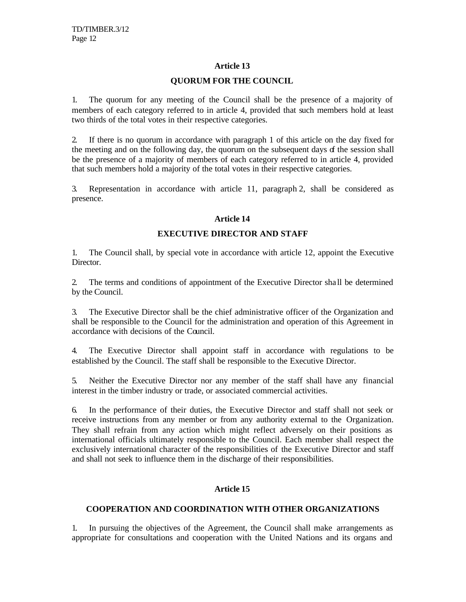### **QUORUM FOR THE COUNCIL**

1. The quorum for any meeting of the Council shall be the presence of a majority of members of each category referred to in article 4, provided that such members hold at least two thirds of the total votes in their respective categories.

2. If there is no quorum in accordance with paragraph 1 of this article on the day fixed for the meeting and on the following day, the quorum on the subsequent days of the session shall be the presence of a majority of members of each category referred to in article 4, provided that such members hold a majority of the total votes in their respective categories.

3. Representation in accordance with article 11, paragraph 2, shall be considered as presence.

## **Article 14**

## **EXECUTIVE DIRECTOR AND STAFF**

1. The Council shall, by special vote in accordance with article 12, appoint the Executive Director.

2. The terms and conditions of appointment of the Executive Director sha ll be determined by the Council.

3. The Executive Director shall be the chief administrative officer of the Organization and shall be responsible to the Council for the administration and operation of this Agreement in accordance with decisions of the Council.

4. The Executive Director shall appoint staff in accordance with regulations to be established by the Council. The staff shall be responsible to the Executive Director.

5. Neither the Executive Director nor any member of the staff shall have any financial interest in the timber industry or trade, or associated commercial activities.

6. In the performance of their duties, the Executive Director and staff shall not seek or receive instructions from any member or from any authority external to the Organization. They shall refrain from any action which might reflect adversely on their positions as international officials ultimately responsible to the Council. Each member shall respect the exclusively international character of the responsibilities of the Executive Director and staff and shall not seek to influence them in the discharge of their responsibilities.

## **Article 15**

## **COOPERATION AND COORDINATION WITH OTHER ORGANIZATIONS**

1. In pursuing the objectives of the Agreement, the Council shall make arrangements as appropriate for consultations and cooperation with the United Nations and its organs and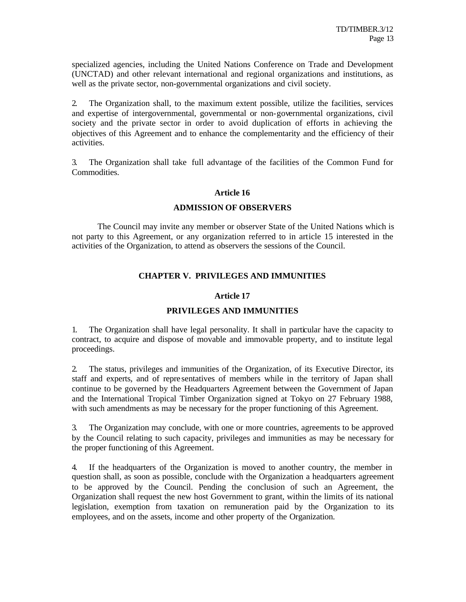specialized agencies, including the United Nations Conference on Trade and Development (UNCTAD) and other relevant international and regional organizations and institutions, as well as the private sector, non-governmental organizations and civil society.

2. The Organization shall, to the maximum extent possible, utilize the facilities, services and expertise of intergovernmental, governmental or non-governmental organizations, civil society and the private sector in order to avoid duplication of efforts in achieving the objectives of this Agreement and to enhance the complementarity and the efficiency of their activities.

3. The Organization shall take full advantage of the facilities of the Common Fund for Commodities.

## **Article 16**

### **ADMISSION OF OBSERVERS**

The Council may invite any member or observer State of the United Nations which is not party to this Agreement, or any organization referred to in article 15 interested in the activities of the Organization, to attend as observers the sessions of the Council.

## **CHAPTER V. PRIVILEGES AND IMMUNITIES**

## **Article 17**

## **PRIVILEGES AND IMMUNITIES**

1. The Organization shall have legal personality. It shall in particular have the capacity to contract, to acquire and dispose of movable and immovable property, and to institute legal proceedings.

2. The status, privileges and immunities of the Organization, of its Executive Director, its staff and experts, and of repre sentatives of members while in the territory of Japan shall continue to be governed by the Headquarters Agreement between the Government of Japan and the International Tropical Timber Organization signed at Tokyo on 27 February 1988, with such amendments as may be necessary for the proper functioning of this Agreement.

3. The Organization may conclude, with one or more countries, agreements to be approved by the Council relating to such capacity, privileges and immunities as may be necessary for the proper functioning of this Agreement.

4. If the headquarters of the Organization is moved to another country, the member in question shall, as soon as possible, conclude with the Organization a headquarters agreement to be approved by the Council. Pending the conclusion of such an Agreement, the Organization shall request the new host Government to grant, within the limits of its national legislation, exemption from taxation on remuneration paid by the Organization to its employees, and on the assets, income and other property of the Organization.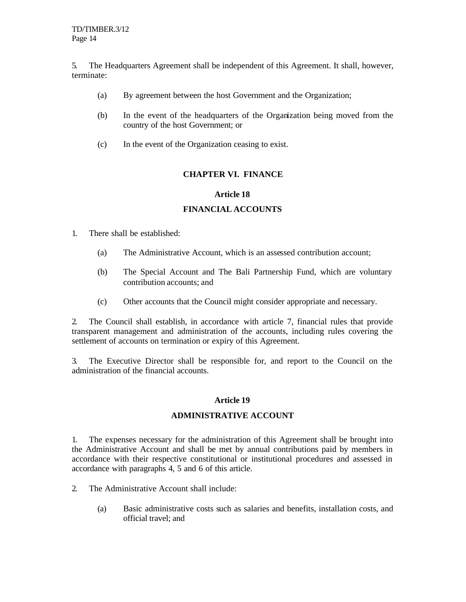5. The Headquarters Agreement shall be independent of this Agreement. It shall, however, terminate:

- (a) By agreement between the host Government and the Organization;
- (b) In the event of the headquarters of the Organization being moved from the country of the host Government; or
- (c) In the event of the Organization ceasing to exist.

## **CHAPTER VI. FINANCE**

### **Article 18**

## **FINANCIAL ACCOUNTS**

- 1. There shall be established:
	- (a) The Administrative Account, which is an assessed contribution account;
	- (b) The Special Account and The Bali Partnership Fund, which are voluntary contribution accounts; and
	- (c) Other accounts that the Council might consider appropriate and necessary.

2. The Council shall establish, in accordance with article 7, financial rules that provide transparent management and administration of the accounts, including rules covering the settlement of accounts on termination or expiry of this Agreement.

3. The Executive Director shall be responsible for, and report to the Council on the administration of the financial accounts.

### **Article 19**

## **ADMINISTRATIVE ACCOUNT**

1. The expenses necessary for the administration of this Agreement shall be brought into the Administrative Account and shall be met by annual contributions paid by members in accordance with their respective constitutional or institutional procedures and assessed in accordance with paragraphs 4, 5 and 6 of this article.

- 2. The Administrative Account shall include:
	- (a) Basic administrative costs such as salaries and benefits, installation costs, and official travel; and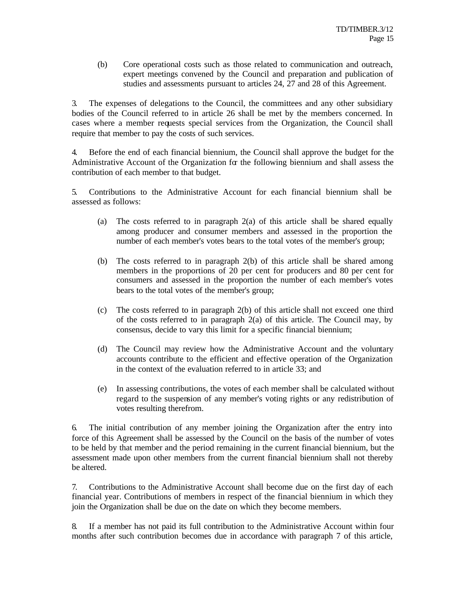(b) Core operational costs such as those related to communication and outreach, expert meetings convened by the Council and preparation and publication of studies and assessments pursuant to articles 24, 27 and 28 of this Agreement.

3. The expenses of delegations to the Council, the committees and any other subsidiary bodies of the Council referred to in article 26 shall be met by the members concerned. In cases where a member requests special services from the Organization, the Council shall require that member to pay the costs of such services.

4. Before the end of each financial biennium, the Council shall approve the budget for the Administrative Account of the Organization for the following biennium and shall assess the contribution of each member to that budget.

5. Contributions to the Administrative Account for each financial biennium shall be assessed as follows:

- (a) The costs referred to in paragraph 2(a) of this article shall be shared equally among producer and consumer members and assessed in the proportion the number of each member's votes bears to the total votes of the member's group;
- (b) The costs referred to in paragraph 2(b) of this article shall be shared among members in the proportions of 20 per cent for producers and 80 per cent for consumers and assessed in the proportion the number of each member's votes bears to the total votes of the member's group;
- (c) The costs referred to in paragraph 2(b) of this article shall not exceed one third of the costs referred to in paragraph  $2(a)$  of this article. The Council may, by consensus, decide to vary this limit for a specific financial biennium;
- (d) The Council may review how the Administrative Account and the voluntary accounts contribute to the efficient and effective operation of the Organization in the context of the evaluation referred to in article 33; and
- (e) In assessing contributions, the votes of each member shall be calculated without regard to the suspension of any member's voting rights or any redistribution of votes resulting therefrom.

6. The initial contribution of any member joining the Organization after the entry into force of this Agreement shall be assessed by the Council on the basis of the number of votes to be held by that member and the period remaining in the current financial biennium, but the assessment made upon other members from the current financial biennium shall not thereby be altered.

7. Contributions to the Administrative Account shall become due on the first day of each financial year. Contributions of members in respect of the financial biennium in which they join the Organization shall be due on the date on which they become members.

8. If a member has not paid its full contribution to the Administrative Account within four months after such contribution becomes due in accordance with paragraph 7 of this article,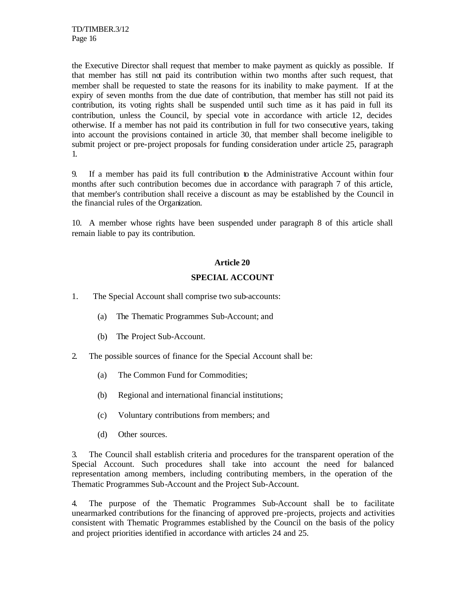the Executive Director shall request that member to make payment as quickly as possible. If that member has still not paid its contribution within two months after such request, that member shall be requested to state the reasons for its inability to make payment. If at the expiry of seven months from the due date of contribution, that member has still not paid its contribution, its voting rights shall be suspended until such time as it has paid in full its contribution, unless the Council, by special vote in accordance with article 12, decides otherwise. If a member has not paid its contribution in full for two consecutive years, taking into account the provisions contained in article 30, that member shall become ineligible to submit project or pre-project proposals for funding consideration under article 25, paragraph 1.

9. If a member has paid its full contribution to the Administrative Account within four months after such contribution becomes due in accordance with paragraph 7 of this article, that member's contribution shall receive a discount as may be established by the Council in the financial rules of the Organization.

10. A member whose rights have been suspended under paragraph 8 of this article shall remain liable to pay its contribution.

## **Article 20**

## **SPECIAL ACCOUNT**

- 1. The Special Account shall comprise two sub-accounts:
	- (a) The Thematic Programmes Sub-Account; and
	- (b) The Project Sub-Account.
- 2. The possible sources of finance for the Special Account shall be:
	- (a) The Common Fund for Commodities;
	- (b) Regional and international financial institutions;
	- (c) Voluntary contributions from members; and
	- (d) Other sources.

3. The Council shall establish criteria and procedures for the transparent operation of the Special Account. Such procedures shall take into account the need for balanced representation among members, including contributing members, in the operation of the Thematic Programmes Sub-Account and the Project Sub-Account.

4. The purpose of the Thematic Programmes Sub-Account shall be to facilitate unearmarked contributions for the financing of approved pre -projects, projects and activities consistent with Thematic Programmes established by the Council on the basis of the policy and project priorities identified in accordance with articles 24 and 25.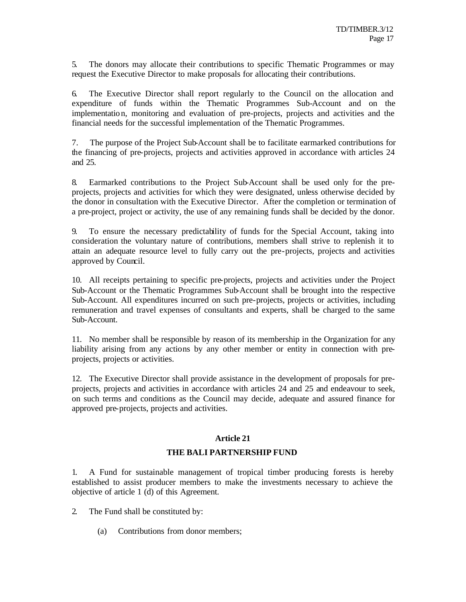5. The donors may allocate their contributions to specific Thematic Programmes or may request the Executive Director to make proposals for allocating their contributions.

6. The Executive Director shall report regularly to the Council on the allocation and expenditure of funds within the Thematic Programmes Sub-Account and on the implementation, monitoring and evaluation of pre-projects, projects and activities and the financial needs for the successful implementation of the Thematic Programmes.

7. The purpose of the Project Sub-Account shall be to facilitate earmarked contributions for the financing of pre-projects, projects and activities approved in accordance with articles 24 and 25.

8. Earmarked contributions to the Project Sub-Account shall be used only for the preprojects, projects and activities for which they were designated, unless otherwise decided by the donor in consultation with the Executive Director. After the completion or termination of a pre-project, project or activity, the use of any remaining funds shall be decided by the donor.

9. To ensure the necessary predictability of funds for the Special Account, taking into consideration the voluntary nature of contributions, members shall strive to replenish it to attain an adequate resource level to fully carry out the pre-projects, projects and activities approved by Council.

10. All receipts pertaining to specific pre-projects, projects and activities under the Project Sub-Account or the Thematic Programmes Sub-Account shall be brought into the respective Sub-Account. All expenditures incurred on such pre-projects, projects or activities, including remuneration and travel expenses of consultants and experts, shall be charged to the same Sub-Account.

11. No member shall be responsible by reason of its membership in the Organization for any liability arising from any actions by any other member or entity in connection with preprojects, projects or activities.

12. The Executive Director shall provide assistance in the development of proposals for preprojects, projects and activities in accordance with articles 24 and 25 and endeavour to seek, on such terms and conditions as the Council may decide, adequate and assured finance for approved pre-projects, projects and activities.

## **Article 21**

## **THE BALI PARTNERSHIP FUND**

1. A Fund for sustainable management of tropical timber producing forests is hereby established to assist producer members to make the investments necessary to achieve the objective of article 1 (d) of this Agreement.

2. The Fund shall be constituted by:

(a) Contributions from donor members;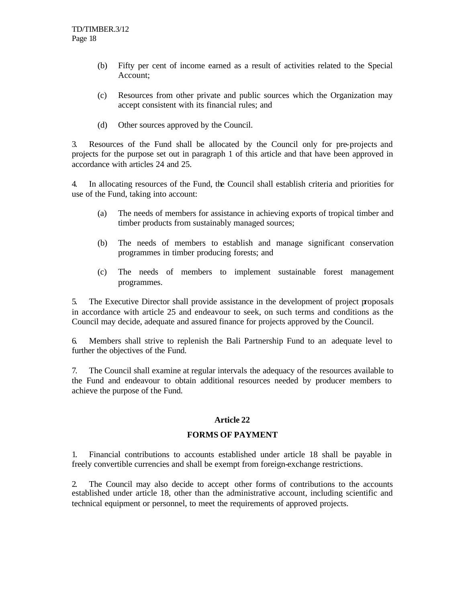- (b) Fifty per cent of income earned as a result of activities related to the Special Account;
- (c) Resources from other private and public sources which the Organization may accept consistent with its financial rules; and
- (d) Other sources approved by the Council.

3. Resources of the Fund shall be allocated by the Council only for pre-projects and projects for the purpose set out in paragraph 1 of this article and that have been approved in accordance with articles 24 and 25.

4. In allocating resources of the Fund, the Council shall establish criteria and priorities for use of the Fund, taking into account:

- (a) The needs of members for assistance in achieving exports of tropical timber and timber products from sustainably managed sources;
- (b) The needs of members to establish and manage significant conservation programmes in timber producing forests; and
- (c) The needs of members to implement sustainable forest management programmes.

5. The Executive Director shall provide assistance in the development of project proposals in accordance with article 25 and endeavour to seek, on such terms and conditions as the Council may decide, adequate and assured finance for projects approved by the Council.

6. Members shall strive to replenish the Bali Partnership Fund to an adequate level to further the objectives of the Fund.

7. The Council shall examine at regular intervals the adequacy of the resources available to the Fund and endeavour to obtain additional resources needed by producer members to achieve the purpose of the Fund.

## **Article 22**

## **FORMS OF PAYMENT**

1. Financial contributions to accounts established under article 18 shall be payable in freely convertible currencies and shall be exempt from foreign-exchange restrictions.

2. The Council may also decide to accept other forms of contributions to the accounts established under article 18, other than the administrative account, including scientific and technical equipment or personnel, to meet the requirements of approved projects.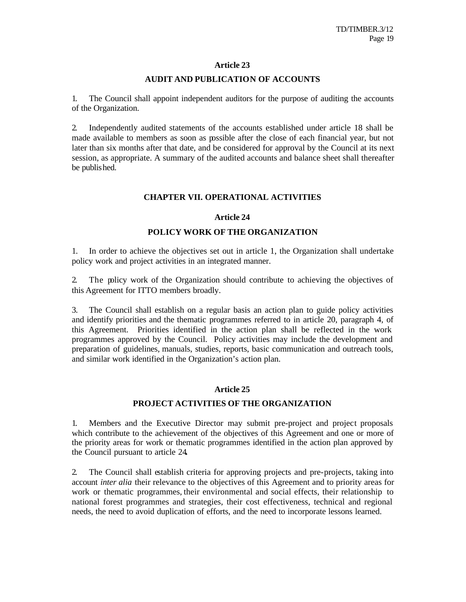## **AUDIT AND PUBLICATION OF ACCOUNTS**

1. The Council shall appoint independent auditors for the purpose of auditing the accounts of the Organization.

2. Independently audited statements of the accounts established under article 18 shall be made available to members as soon as possible after the close of each financial year, but not later than six months after that date, and be considered for approval by the Council at its next session, as appropriate. A summary of the audited accounts and balance sheet shall thereafter be published.

## **CHAPTER VII. OPERATIONAL ACTIVITIES**

## **Article 24**

## **POLICY WORK OF THE ORGANIZATION**

1. In order to achieve the objectives set out in article 1, the Organization shall undertake policy work and project activities in an integrated manner.

2. The policy work of the Organization should contribute to achieving the objectives of this Agreement for ITTO members broadly.

3. The Council shall establish on a regular basis an action plan to guide policy activities and identify priorities and the thematic programmes referred to in article 20, paragraph 4, of this Agreement.Priorities identified in the action plan shall be reflected in the work programmes approved by the Council. Policy activities may include the development and preparation of guidelines, manuals, studies, reports, basic communication and outreach tools, and similar work identified in the Organization's action plan.

## **Article 25**

## **PROJECT ACTIVITIES OF THE ORGANIZATION**

1. Members and the Executive Director may submit pre-project and project proposals which contribute to the achievement of the objectives of this Agreement and one or more of the priority areas for work or thematic programmes identified in the action plan approved by the Council pursuant to article 24**.**

2. The Council shall establish criteria for approving projects and pre-projects, taking into account *inter alia* their relevance to the objectives of this Agreement and to priority areas for work or thematic programmes, their environmental and social effects, their relationship to national forest programmes and strategies, their cost effectiveness, technical and regional needs, the need to avoid duplication of efforts, and the need to incorporate lessons learned.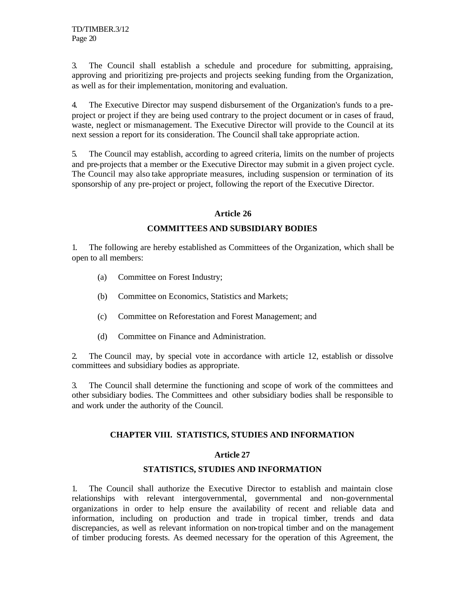3. The Council shall establish a schedule and procedure for submitting, appraising, approving and prioritizing pre-projects and projects seeking funding from the Organization, as well as for their implementation, monitoring and evaluation.

4. The Executive Director may suspend disbursement of the Organization's funds to a preproject or project if they are being used contrary to the project document or in cases of fraud, waste, neglect or mismanagement. The Executive Director will provide to the Council at its next session a report for its consideration. The Council shall take appropriate action.

5. The Council may establish, according to agreed criteria, limits on the number of projects and pre-projects that a member or the Executive Director may submit in a given project cycle. The Council may also take appropriate measures, including suspension or termination of its sponsorship of any pre-project or project, following the report of the Executive Director.

## **Article 26**

## **COMMITTEES AND SUBSIDIARY BODIES**

1. The following are hereby established as Committees of the Organization, which shall be open to all members:

- (a) Committee on Forest Industry;
- (b) Committee on Economics, Statistics and Markets;
- (c) Committee on Reforestation and Forest Management; and
- (d) Committee on Finance and Administration.

2. The Council may, by special vote in accordance with article 12, establish or dissolve committees and subsidiary bodies as appropriate.

3. The Council shall determine the functioning and scope of work of the committees and other subsidiary bodies. The Committees and other subsidiary bodies shall be responsible to and work under the authority of the Council.

## **CHAPTER VIII. STATISTICS, STUDIES AND INFORMATION**

## **Article 27**

## **STATISTICS, STUDIES AND INFORMATION**

1. The Council shall authorize the Executive Director to establish and maintain close relationships with relevant intergovernmental, governmental and non-governmental organizations in order to help ensure the availability of recent and reliable data and information, including on production and trade in tropical timber, trends and data discrepancies, as well as relevant information on non-tropical timber and on the management of timber producing forests. As deemed necessary for the operation of this Agreement, the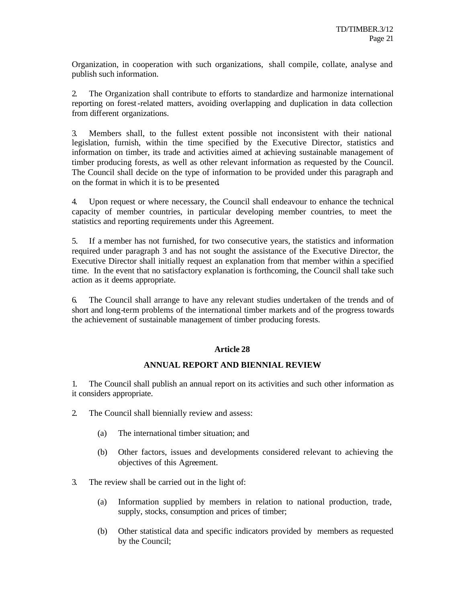Organization, in cooperation with such organizations, shall compile, collate, analyse and publish such information.

2. The Organization shall contribute to efforts to standardize and harmonize international reporting on forest-related matters, avoiding overlapping and duplication in data collection from different organizations.

3. Members shall, to the fullest extent possible not inconsistent with their national legislation, furnish, within the time specified by the Executive Director, statistics and information on timber, its trade and activities aimed at achieving sustainable management of timber producing forests, as well as other relevant information as requested by the Council. The Council shall decide on the type of information to be provided under this paragraph and on the format in which it is to be presented**.**

4. Upon request or where necessary, the Council shall endeavour to enhance the technical capacity of member countries, in particular developing member countries, to meet the statistics and reporting requirements under this Agreement.

5. If a member has not furnished, for two consecutive years, the statistics and information required under paragraph 3 and has not sought the assistance of the Executive Director, the Executive Director shall initially request an explanation from that member within a specified time. In the event that no satisfactory explanation is forthcoming, the Council shall take such action as it deems appropriate.

6. The Council shall arrange to have any relevant studies undertaken of the trends and of short and long-term problems of the international timber markets and of the progress towards the achievement of sustainable management of timber producing forests.

## **Article 28**

## **ANNUAL REPORT AND BIENNIAL REVIEW**

1. The Council shall publish an annual report on its activities and such other information as it considers appropriate.

- 2. The Council shall biennially review and assess:
	- (a) The international timber situation; and
	- (b) Other factors, issues and developments considered relevant to achieving the objectives of this Agreement.
- 3. The review shall be carried out in the light of:
	- (a) Information supplied by members in relation to national production, trade, supply, stocks, consumption and prices of timber;
	- (b) Other statistical data and specific indicators provided by members as requested by the Council;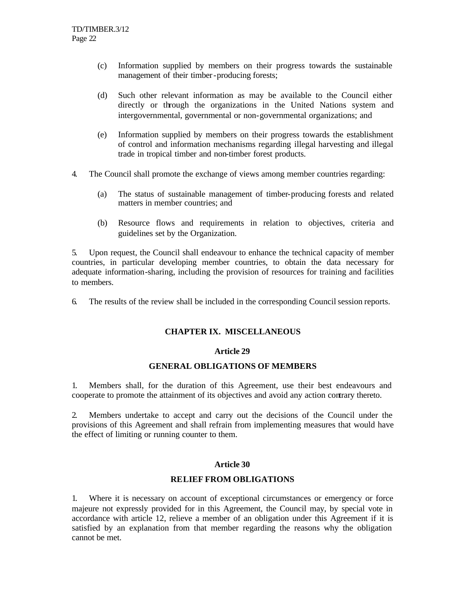- (c) Information supplied by members on their progress towards the sustainable management of their timber-producing forests;
- (d) Such other relevant information as may be available to the Council either directly or through the organizations in the United Nations system and intergovernmental, governmental or non-governmental organizations; and
- (e) Information supplied by members on their progress towards the establishment of control and information mechanisms regarding illegal harvesting and illegal trade in tropical timber and non-timber forest products.
- 4. The Council shall promote the exchange of views among member countries regarding:
	- (a) The status of sustainable management of timber-producing forests and related matters in member countries; and
	- (b) Resource flows and requirements in relation to objectives, criteria and guidelines set by the Organization.

5. Upon request, the Council shall endeavour to enhance the technical capacity of member countries, in particular developing member countries, to obtain the data necessary for adequate information-sharing, including the provision of resources for training and facilities to members.

6. The results of the review shall be included in the corresponding Council session reports.

## **CHAPTER IX. MISCELLANEOUS**

### **Article 29**

## **GENERAL OBLIGATIONS OF MEMBERS**

1. Members shall, for the duration of this Agreement, use their best endeavours and cooperate to promote the attainment of its objectives and avoid any action contrary thereto.

2. Members undertake to accept and carry out the decisions of the Council under the provisions of this Agreement and shall refrain from implementing measures that would have the effect of limiting or running counter to them.

## **Article 30**

### **RELIEF FROM OBLIGATIONS**

1. Where it is necessary on account of exceptional circumstances or emergency or force majeure not expressly provided for in this Agreement, the Council may, by special vote in accordance with article 12, relieve a member of an obligation under this Agreement if it is satisfied by an explanation from that member regarding the reasons why the obligation cannot be met.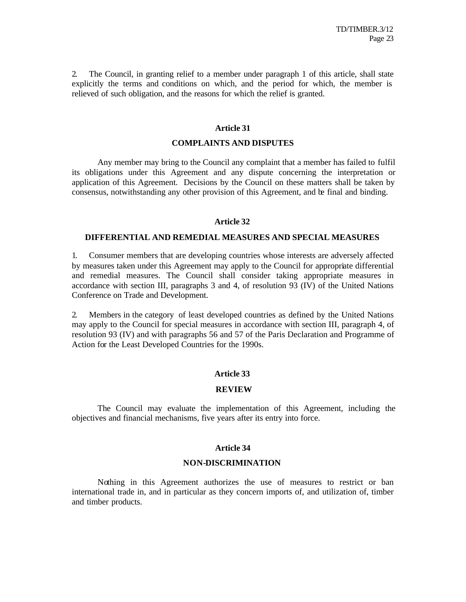2. The Council, in granting relief to a member under paragraph 1 of this article, shall state explicitly the terms and conditions on which, and the period for which, the member is relieved of such obligation, and the reasons for which the relief is granted.

### **Article 31**

### **COMPLAINTS AND DISPUTES**

Any member may bring to the Council any complaint that a member has failed to fulfil its obligations under this Agreement and any dispute concerning the interpretation or application of this Agreement. Decisions by the Council on these matters shall be taken by consensus, notwithstanding any other provision of this Agreement, and be final and binding.

### **Article 32**

### **DIFFERENTIAL AND REMEDIAL MEASURES AND SPECIAL MEASURES**

1. Consumer members that are developing countries whose interests are adversely affected by measures taken under this Agreement may apply to the Council for appropriate differential and remedial measures. The Council shall consider taking appropriate measures in accordance with section III, paragraphs 3 and 4, of resolution 93 (IV) of the United Nations Conference on Trade and Development.

2. Members in the category of least developed countries as defined by the United Nations may apply to the Council for special measures in accordance with section III, paragraph 4, of resolution 93 (IV) and with paragraphs 56 and 57 of the Paris Declaration and Programme of Action for the Least Developed Countries for the 1990s.

### **Article 33**

### **REVIEW**

The Council may evaluate the implementation of this Agreement, including the objectives and financial mechanisms, five years after its entry into force.

### **Article 34**

#### **NON-DISCRIMINATION**

Nothing in this Agreement authorizes the use of measures to restrict or ban international trade in, and in particular as they concern imports of, and utilization of, timber and timber products.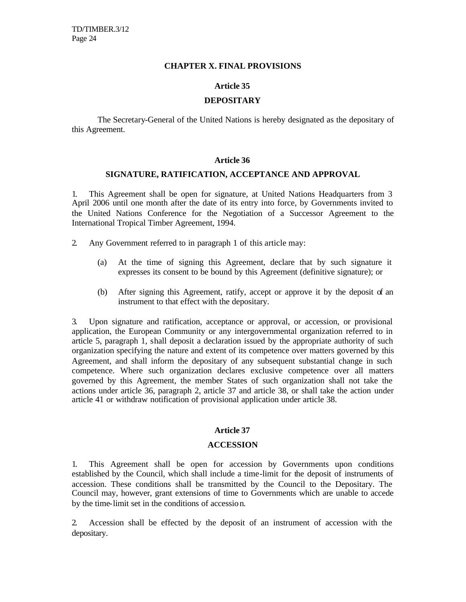#### **CHAPTER X. FINAL PROVISIONS**

### **Article 35**

### **DEPOSITARY**

The Secretary-General of the United Nations is hereby designated as the depositary of this Agreement.

#### **Article 36**

#### **SIGNATURE, RATIFICATION, ACCEPTANCE AND APPROVAL**

1. This Agreement shall be open for signature, at United Nations Headquarters from 3 April 2006 until one month after the date of its entry into force, by Governments invited to the United Nations Conference for the Negotiation of a Successor Agreement to the International Tropical Timber Agreement, 1994.

- 2. Any Government referred to in paragraph 1 of this article may:
	- (a) At the time of signing this Agreement, declare that by such signature it expresses its consent to be bound by this Agreement (definitive signature); or
	- (b) After signing this Agreement, ratify, accept or approve it by the deposit of an instrument to that effect with the depositary.

3. Upon signature and ratification, acceptance or approval, or accession, or provisional application, the European Community or any intergovernmental organization referred to in article 5, paragraph 1, shall deposit a declaration issued by the appropriate authority of such organization specifying the nature and extent of its competence over matters governed by this Agreement, and shall inform the depositary of any subsequent substantial change in such competence. Where such organization declares exclusive competence over all matters governed by this Agreement, the member States of such organization shall not take the actions under article 36, paragraph 2, article 37 and article 38, or shall take the action under article 41 or withdraw notification of provisional application under article 38.

### **Article 37**

### **ACCESSION**

1. This Agreement shall be open for accession by Governments upon conditions established by the Council, which shall include a time-limit for the deposit of instruments of accession. These conditions shall be transmitted by the Council to the Depositary. The Council may, however, grant extensions of time to Governments which are unable to accede by the time-limit set in the conditions of accessio n.

2. Accession shall be effected by the deposit of an instrument of accession with the depositary.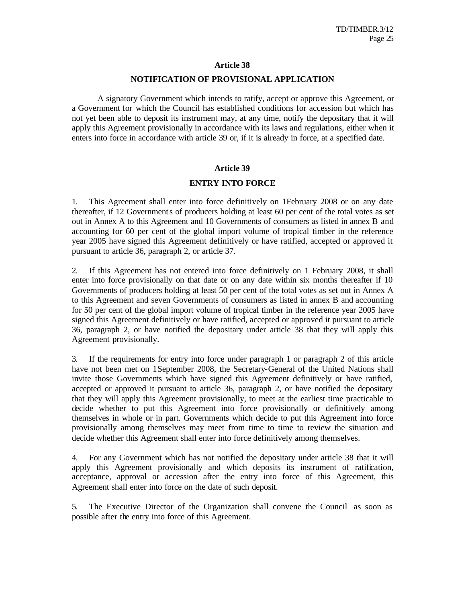#### **NOTIFICATION OF PROVISIONAL APPLICATION**

A signatory Government which intends to ratify, accept or approve this Agreement, or a Government for which the Council has established conditions for accession but which has not yet been able to deposit its instrument may, at any time, notify the depositary that it will apply this Agreement provisionally in accordance with its laws and regulations, either when it enters into force in accordance with article 39 or, if it is already in force, at a specified date.

### **Article 39**

#### **ENTRY INTO FORCE**

1. This Agreement shall enter into force definitively on 1February 2008 or on any date thereafter, if 12 Governments of producers holding at least 60 per cent of the total votes as set out in Annex A to this Agreement and 10 Governments of consumers as listed in annex B and accounting for 60 per cent of the global import volume of tropical timber in the reference year 2005 have signed this Agreement definitively or have ratified, accepted or approved it pursuant to article 36, paragraph 2, or article 37.

2. If this Agreement has not entered into force definitively on 1 February 2008, it shall enter into force provisionally on that date or on any date within six months thereafter if 10 Governments of producers holding at least 50 per cent of the total votes as set out in Annex A to this Agreement and seven Governments of consumers as listed in annex B and accounting for 50 per cent of the global import volume of tropical timber in the reference year 2005 have signed this Agreement definitively or have ratified, accepted or approved it pursuant to article 36, paragraph 2, or have notified the depositary under article 38 that they will apply this Agreement provisionally.

3. If the requirements for entry into force under paragraph 1 or paragraph 2 of this article have not been met on 1September 2008, the Secretary-General of the United Nations shall invite those Governments which have signed this Agreement definitively or have ratified, accepted or approved it pursuant to article 36, paragraph 2, or have notified the depositary that they will apply this Agreement provisionally, to meet at the earliest time practicable to decide whether to put this Agreement into force provisionally or definitively among themselves in whole or in part. Governments which decide to put this Agreement into force provisionally among themselves may meet from time to time to review the situation and decide whether this Agreement shall enter into force definitively among themselves.

4. For any Government which has not notified the depositary under article 38 that it will apply this Agreement provisionally and which deposits its instrument of ratification, acceptance, approval or accession after the entry into force of this Agreement, this Agreement shall enter into force on the date of such deposit.

5. The Executive Director of the Organization shall convene the Council as soon as possible after the entry into force of this Agreement.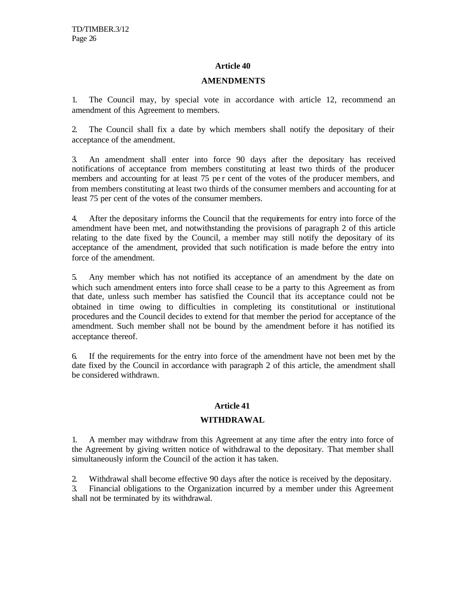## **AMENDMENTS**

1. The Council may, by special vote in accordance with article 12, recommend an amendment of this Agreement to members.

2. The Council shall fix a date by which members shall notify the depositary of their acceptance of the amendment.

3. An amendment shall enter into force 90 days after the depositary has received notifications of acceptance from members constituting at least two thirds of the producer members and accounting for at least 75 pe r cent of the votes of the producer members, and from members constituting at least two thirds of the consumer members and accounting for at least 75 per cent of the votes of the consumer members.

4. After the depositary informs the Council that the requirements for entry into force of the amendment have been met, and notwithstanding the provisions of paragraph 2 of this article relating to the date fixed by the Council, a member may still notify the depositary of its acceptance of the amendment, provided that such notification is made before the entry into force of the amendment.

5. Any member which has not notified its acceptance of an amendment by the date on which such amendment enters into force shall cease to be a party to this Agreement as from that date, unless such member has satisfied the Council that its acceptance could not be obtained in time owing to difficulties in completing its constitutional or institutional procedures and the Council decides to extend for that member the period for acceptance of the amendment. Such member shall not be bound by the amendment before it has notified its acceptance thereof.

6. If the requirements for the entry into force of the amendment have not been met by the date fixed by the Council in accordance with paragraph 2 of this article, the amendment shall be considered withdrawn.

## **Article 41**

## **WITHDRAWAL**

1. A member may withdraw from this Agreement at any time after the entry into force of the Agreement by giving written notice of withdrawal to the depositary. That member shall simultaneously inform the Council of the action it has taken.

2. Withdrawal shall become effective 90 days after the notice is received by the depositary.

3. Financial obligations to the Organization incurred by a member under this Agreement shall not be terminated by its withdrawal.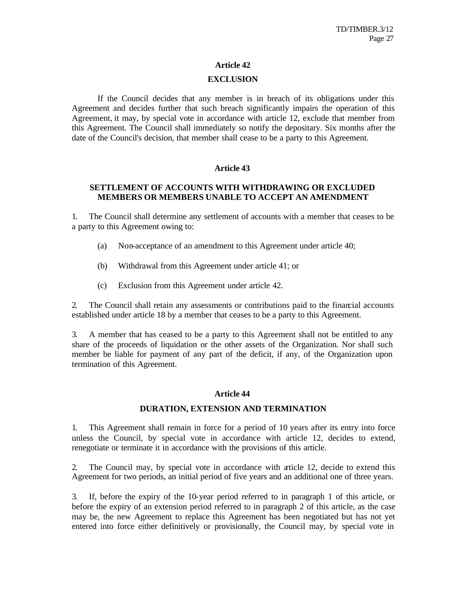### **EXCLUSION**

If the Council decides that any member is in breach of its obligations under this Agreement and decides further that such breach significantly impairs the operation of this Agreement, it may, by special vote in accordance with article 12, exclude that member from this Agreement. The Council shall immediately so notify the depositary. Six months after the date of the Council's decision, that member shall cease to be a party to this Agreement.

## **Article 43**

### **SETTLEMENT OF ACCOUNTS WITH WITHDRAWING OR EXCLUDED MEMBERS OR MEMBERS UNABLE TO ACCEPT AN AMENDMENT**

1. The Council shall determine any settlement of accounts with a member that ceases to be a party to this Agreement owing to:

- (a) Non-acceptance of an amendment to this Agreement under article 40;
- (b) Withdrawal from this Agreement under article 41; or
- (c) Exclusion from this Agreement under article 42.

2. The Council shall retain any assessments or contributions paid to the financial accounts established under article 18 by a member that ceases to be a party to this Agreement.

3. A member that has ceased to be a party to this Agreement shall not be entitled to any share of the proceeds of liquidation or the other assets of the Organization. Nor shall such member be liable for payment of any part of the deficit, if any, of the Organization upon termination of this Agreement.

## **Article 44**

### **DURATION, EXTENSION AND TERMINATION**

1. This Agreement shall remain in force for a period of 10 years after its entry into force unless the Council, by special vote in accordance with article 12, decides to extend, renegotiate or terminate it in accordance with the provisions of this article.

2. The Council may, by special vote in accordance with article 12, decide to extend this Agreement for two periods, an initial period of five years and an additional one of three years.

3. If, before the expiry of the 10-year period referred to in paragraph 1 of this article, or before the expiry of an extension period referred to in paragraph 2 of this article, as the case may be, the new Agreement to replace this Agreement has been negotiated but has not yet entered into force either definitively or provisionally, the Council may, by special vote in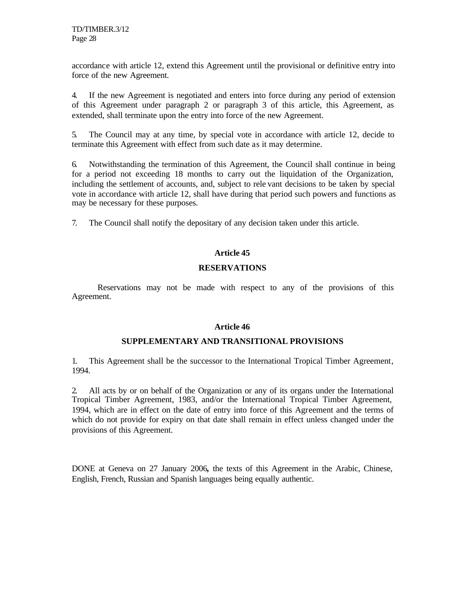accordance with article 12, extend this Agreement until the provisional or definitive entry into force of the new Agreement.

4. If the new Agreement is negotiated and enters into force during any period of extension of this Agreement under paragraph 2 or paragraph 3 of this article, this Agreement, as extended, shall terminate upon the entry into force of the new Agreement.

5. The Council may at any time, by special vote in accordance with article 12, decide to terminate this Agreement with effect from such date as it may determine.

6. Notwithstanding the termination of this Agreement, the Council shall continue in being for a period not exceeding 18 months to carry out the liquidation of the Organization, including the settlement of accounts, and, subject to rele vant decisions to be taken by special vote in accordance with article 12, shall have during that period such powers and functions as may be necessary for these purposes.

7. The Council shall notify the depositary of any decision taken under this article.

## **Article 45**

## **RESERVATIONS**

Reservations may not be made with respect to any of the provisions of this Agreement.

## **Article 46**

## **SUPPLEMENTARY AND TRANSITIONAL PROVISIONS**

1. This Agreement shall be the successor to the International Tropical Timber Agreement, 1994.

2. All acts by or on behalf of the Organization or any of its organs under the International Tropical Timber Agreement, 1983, and/or the International Tropical Timber Agreement, 1994, which are in effect on the date of entry into force of this Agreement and the terms of which do not provide for expiry on that date shall remain in effect unless changed under the provisions of this Agreement.

DONE at Geneva on 27 January 2006*,* the texts of this Agreement in the Arabic, Chinese, English, French, Russian and Spanish languages being equally authentic.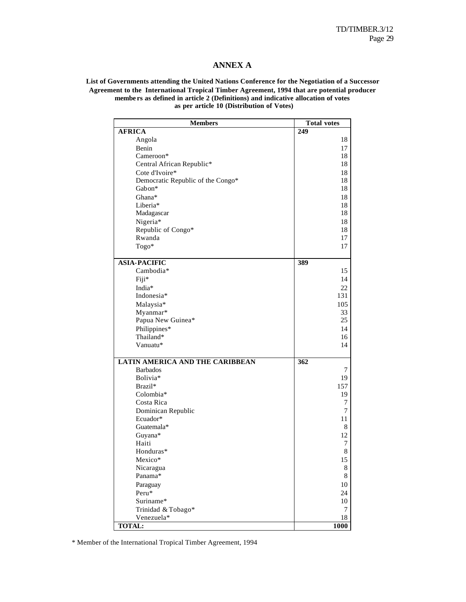### **ANNEX A**

#### **List of Governments attending the United Nations Conference for the Negotiation of a Successor Agreement to the International Tropical Timber Agreement, 1994 that are potential producer membe rs as defined in article 2 (Definitions) and indicative allocation of votes as per article 10 (Distribution of Votes)**

| <b>Members</b>                         | <b>Total votes</b> |
|----------------------------------------|--------------------|
| <b>AFRICA</b>                          | 249                |
| Angola                                 | 18                 |
| Benin                                  | 17                 |
| Cameroon*                              | 18                 |
| Central African Republic*              | 18                 |
| Cote d'Ivoire*                         | 18                 |
| Democratic Republic of the Congo*      | 18                 |
| Gabon*                                 | 18                 |
| Ghana*                                 | 18                 |
| Liberia*                               | 18                 |
| Madagascar                             | 18                 |
| Nigeria*                               | 18                 |
| Republic of Congo*                     | 18                 |
| Rwanda                                 | 17                 |
| Togo*                                  | 17                 |
|                                        |                    |
| <b>ASIA-PACIFIC</b>                    | 389                |
| Cambodia*                              | 15                 |
| Fiji*                                  | 14                 |
| India*                                 | 22                 |
| Indonesia*                             | 131                |
| Malaysia*                              | 105                |
| Myanmar*                               | 33                 |
| Papua New Guinea*                      | 25                 |
| Philippines*                           | 14                 |
| Thailand*                              | 16                 |
| Vanuatu*                               | 14                 |
|                                        |                    |
| <b>LATIN AMERICA AND THE CARIBBEAN</b> | 362                |
| <b>Barbados</b>                        | 7                  |
| Bolivia*                               | 19                 |
| Brazil*                                | 157                |
| Colombia*                              | 19                 |
| Costa Rica                             | 7                  |
| Dominican Republic                     | 7                  |
| Ecuador*                               | 11                 |
| Guatemala*                             | 8                  |
| Guyana*                                | 12                 |
| Haiti                                  | 7                  |
| Honduras*                              | $\,$ $\,$          |
| Mexico*                                | 15                 |
| Nicaragua                              | 8                  |
| Panama*                                | $\,$ $\,$          |
| Paraguay                               | 10                 |
| Peru*                                  | 24                 |
| Suriname*                              | 10                 |
| Trinidad & Tobago*                     | 7                  |
| Venezuela*                             | 18                 |
| <b>TOTAL:</b>                          | 1000               |

\* Member of the International Tropical Timber Agreement, 1994